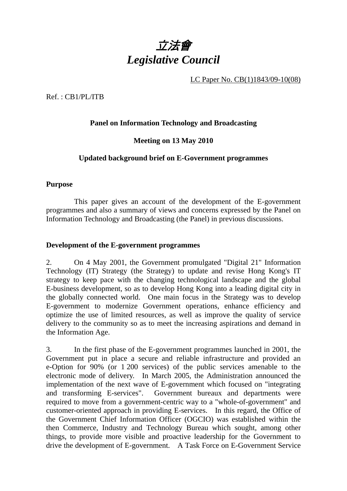

LC Paper No. CB(1)1843/09-10(08)

Ref. : CB1/PL/ITB

# **Panel on Information Technology and Broadcasting**

# **Meeting on 13 May 2010**

# **Updated background brief on E-Government programmes**

#### **Purpose**

 This paper gives an account of the development of the E-government programmes and also a summary of views and concerns expressed by the Panel on Information Technology and Broadcasting (the Panel) in previous discussions.

#### **Development of the E-government programmes**

2. On 4 May 2001, the Government promulgated "Digital 21" Information Technology (IT) Strategy (the Strategy) to update and revise Hong Kong's IT strategy to keep pace with the changing technological landscape and the global E-business development, so as to develop Hong Kong into a leading digital city in the globally connected world. One main focus in the Strategy was to develop E-government to modernize Government operations, enhance efficiency and optimize the use of limited resources, as well as improve the quality of service delivery to the community so as to meet the increasing aspirations and demand in the Information Age.

3. In the first phase of the E-government programmes launched in 2001, the Government put in place a secure and reliable infrastructure and provided an e-Option for 90% (or 1 200 services) of the public services amenable to the electronic mode of delivery. In March 2005, the Administration announced the implementation of the next wave of E-government which focused on "integrating and transforming E-services". Government bureaux and departments were required to move from a government-centric way to a "whole-of-government" and customer-oriented approach in providing E-services. In this regard, the Office of the Government Chief Information Officer (OGCIO) was established within the then Commerce, Industry and Technology Bureau which sought, among other things, to provide more visible and proactive leadership for the Government to drive the development of E-government. A Task Force on E-Government Service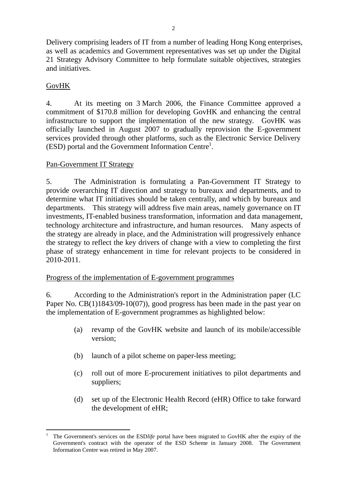Delivery comprising leaders of IT from a number of leading Hong Kong enterprises, as well as academics and Government representatives was set up under the Digital 21 Strategy Advisory Committee to help formulate suitable objectives, strategies and initiatives.

# GovHK

4. At its meeting on 3 March 2006, the Finance Committee approved a commitment of \$170.8 million for developing GovHK and enhancing the central infrastructure to support the implementation of the new strategy. GovHK was officially launched in August 2007 to gradually reprovision the E-government services provided through other platforms, such as the Electronic Service Delivery (ESD) portal and the Government Information Centre<sup>1</sup>.

# Pan-Government IT Strategy

5. The Administration is formulating a Pan-Government IT Strategy to provide overarching IT direction and strategy to bureaux and departments, and to determine what IT initiatives should be taken centrally, and which by bureaux and departments. This strategy will address five main areas, namely governance on IT investments, IT-enabled business transformation, information and data management, technology architecture and infrastructure, and human resources. Many aspects of the strategy are already in place, and the Administration will progressively enhance the strategy to reflect the key drivers of change with a view to completing the first phase of strategy enhancement in time for relevant projects to be considered in 2010-2011.

# Progress of the implementation of E-government programmes

6. According to the Administration's report in the Administration paper (LC Paper No. CB(1)1843/09-10(07)), good progress has been made in the past year on the implementation of E-government programmes as highlighted below:

- (a) revamp of the GovHK website and launch of its mobile/accessible version;
- (b) launch of a pilot scheme on paper-less meeting;
- (c) roll out of more E-procurement initiatives to pilot departments and suppliers;
- (d) set up of the Electronic Health Record (eHR) Office to take forward the development of eHR;

 $\overline{a}$ 1 The Government's services on the ESD*life* portal have been migrated to GovHK after the expiry of the Government's contract with the operator of the ESD Scheme in January 2008. The Government Information Centre was retired in May 2007.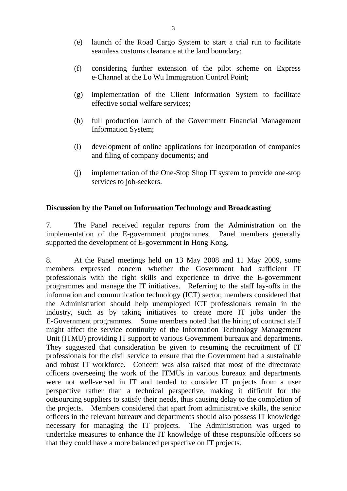- (e) launch of the Road Cargo System to start a trial run to facilitate seamless customs clearance at the land boundary;
- (f) considering further extension of the pilot scheme on Express e-Channel at the Lo Wu Immigration Control Point;
- (g) implementation of the Client Information System to facilitate effective social welfare services;
- (h) full production launch of the Government Financial Management Information System;
- (i) development of online applications for incorporation of companies and filing of company documents; and
- (j) implementation of the One-Stop Shop IT system to provide one-stop services to job-seekers.

#### **Discussion by the Panel on Information Technology and Broadcasting**

7. The Panel received regular reports from the Administration on the implementation of the E-government programmes. Panel members generally supported the development of E-government in Hong Kong.

8. At the Panel meetings held on 13 May 2008 and 11 May 2009, some members expressed concern whether the Government had sufficient IT professionals with the right skills and experience to drive the E-government programmes and manage the IT initiatives. Referring to the staff lay-offs in the information and communication technology (ICT) sector, members considered that the Administration should help unemployed ICT professionals remain in the industry, such as by taking initiatives to create more IT jobs under the E-Government programmes. Some members noted that the hiring of contract staff might affect the service continuity of the Information Technology Management Unit (ITMU) providing IT support to various Government bureaux and departments. They suggested that consideration be given to resuming the recruitment of IT professionals for the civil service to ensure that the Government had a sustainable and robust IT workforce. Concern was also raised that most of the directorate officers overseeing the work of the ITMUs in various bureaux and departments were not well-versed in IT and tended to consider IT projects from a user perspective rather than a technical perspective, making it difficult for the outsourcing suppliers to satisfy their needs, thus causing delay to the completion of the projects. Members considered that apart from administrative skills, the senior officers in the relevant bureaux and departments should also possess IT knowledge necessary for managing the IT projects. The Administration was urged to undertake measures to enhance the IT knowledge of these responsible officers so that they could have a more balanced perspective on IT projects.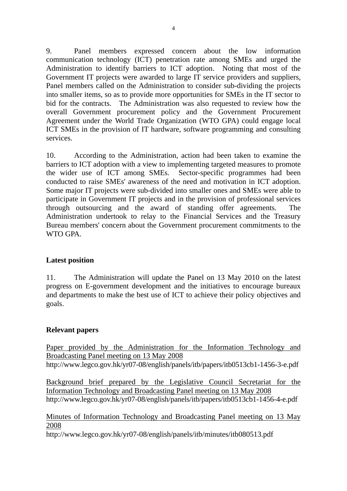9. Panel members expressed concern about the low information communication technology (ICT) penetration rate among SMEs and urged the Administration to identify barriers to ICT adoption. Noting that most of the Government IT projects were awarded to large IT service providers and suppliers, Panel members called on the Administration to consider sub-dividing the projects into smaller items, so as to provide more opportunities for SMEs in the IT sector to bid for the contracts. The Administration was also requested to review how the overall Government procurement policy and the Government Procurement Agreement under the World Trade Organization (WTO GPA) could engage local ICT SMEs in the provision of IT hardware, software programming and consulting services.

10. According to the Administration, action had been taken to examine the barriers to ICT adoption with a view to implementing targeted measures to promote the wider use of ICT among SMEs. Sector-specific programmes had been conducted to raise SMEs' awareness of the need and motivation in ICT adoption. Some major IT projects were sub-divided into smaller ones and SMEs were able to participate in Government IT projects and in the provision of professional services through outsourcing and the award of standing offer agreements. The Administration undertook to relay to the Financial Services and the Treasury Bureau members' concern about the Government procurement commitments to the WTO GPA.

#### **Latest position**

11. The Administration will update the Panel on 13 May 2010 on the latest progress on E-government development and the initiatives to encourage bureaux and departments to make the best use of ICT to achieve their policy objectives and goals.

# **Relevant papers**

Paper provided by the Administration for the Information Technology and Broadcasting Panel meeting on 13 May 2008 http://www.legco.gov.hk/yr07-08/english/panels/itb/papers/itb0513cb1-1456-3-e.pdf

Background brief prepared by the Legislative Council Secretariat for the Information Technology and Broadcasting Panel meeting on 13 May 2008 http://www.legco.gov.hk/yr07-08/english/panels/itb/papers/itb0513cb1-1456-4-e.pdf

Minutes of Information Technology and Broadcasting Panel meeting on 13 May 2008

http://www.legco.gov.hk/yr07-08/english/panels/itb/minutes/itb080513.pdf